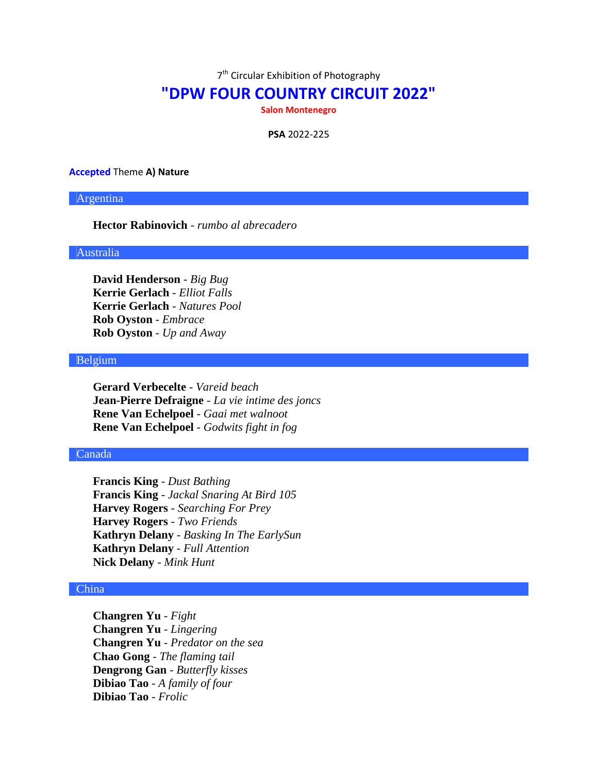7<sup>th</sup> Circular Exhibition of Photography

# **"DPW FOUR COUNTRY CIRCUIT 2022"**

**Salon Montenegro**

**PSA** 2022-225

#### **Accepted** Theme **A) Nature**

# Argentina

# **Hector Rabinovich** - *rumbo al abrecadero*

# Australia

**David Henderson** - *Big Bug* **Kerrie Gerlach** - *Elliot Falls* **Kerrie Gerlach** - *Natures Pool* **Rob Oyston** - *Embrace* **Rob Oyston** - *Up and Away*

# Belgium

**Gerard Verbecelte** - *Vareid beach* **Jean-Pierre Defraigne** - *La vie intime des joncs* **Rene Van Echelpoel** - *Gaai met walnoot* **Rene Van Echelpoel** - *Godwits fight in fog*

### Canada

**Francis King** - *Dust Bathing* **Francis King** - *Jackal Snaring At Bird 105* **Harvey Rogers** - *Searching For Prey* **Harvey Rogers** - *Two Friends* **Kathryn Delany** - *Basking In The EarlySun* **Kathryn Delany** - *Full Attention* **Nick Delany** - *Mink Hunt*

### China

**Changren Yu** - *Fight* **Changren Yu** - *Lingering* **Changren Yu** - *Predator on the sea* **Chao Gong** - *The flaming tail* **Dengrong Gan** - *Butterfly kisses* **Dibiao Tao** - *A family of four* **Dibiao Tao** - *Frolic*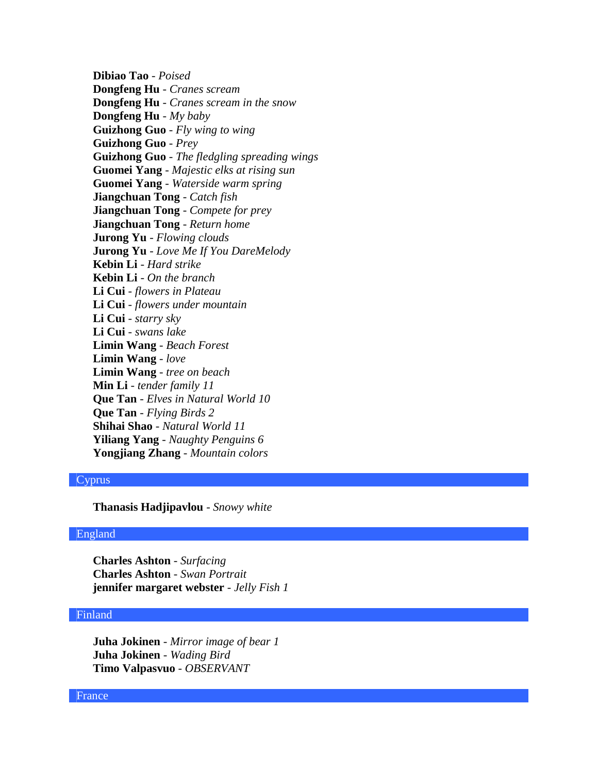**Dibiao Tao** - *Poised* **Dongfeng Hu** - *Cranes scream* **Dongfeng Hu** - *Cranes scream in the snow* **Dongfeng Hu** - *My baby* **Guizhong Guo** - *Fly wing to wing* **Guizhong Guo** - *Prey* **Guizhong Guo** - *The fledgling spreading wings* **Guomei Yang** - *Majestic elks at rising sun* **Guomei Yang** - *Waterside warm spring* **Jiangchuan Tong** - *Catch fish* **Jiangchuan Tong** - *Compete for prey* **Jiangchuan Tong** - *Return home* **Jurong Yu** - *Flowing clouds* **Jurong Yu** - *Love Me If You DareMelody* **Kebin Li** - *Hard strike* **Kebin Li** - *On the branch* **Li Cui** - *flowers in Plateau* **Li Cui** - *flowers under mountain* **Li Cui** - *starry sky* **Li Cui** - *swans lake* **Limin Wang** - *Beach Forest* **Limin Wang** - *love* **Limin Wang** - *tree on beach* **Min Li** - *tender family 11* **Que Tan** - *Elves in Natural World 10* **Que Tan** - *Flying Birds 2* **Shihai Shao** - *Natural World 11* **Yiliang Yang** - *Naughty Penguins 6* **Yongjiang Zhang** - *Mountain colors*

# Cyprus

**Thanasis Hadjipavlou** - *Snowy white*

### England

**Charles Ashton** - *Surfacing* **Charles Ashton** - *Swan Portrait* **jennifer margaret webster** - *Jelly Fish 1*

### Finland

**Juha Jokinen** - *Mirror image of bear 1* **Juha Jokinen** - *Wading Bird* **Timo Valpasvuo** - *OBSERVANT*

#### France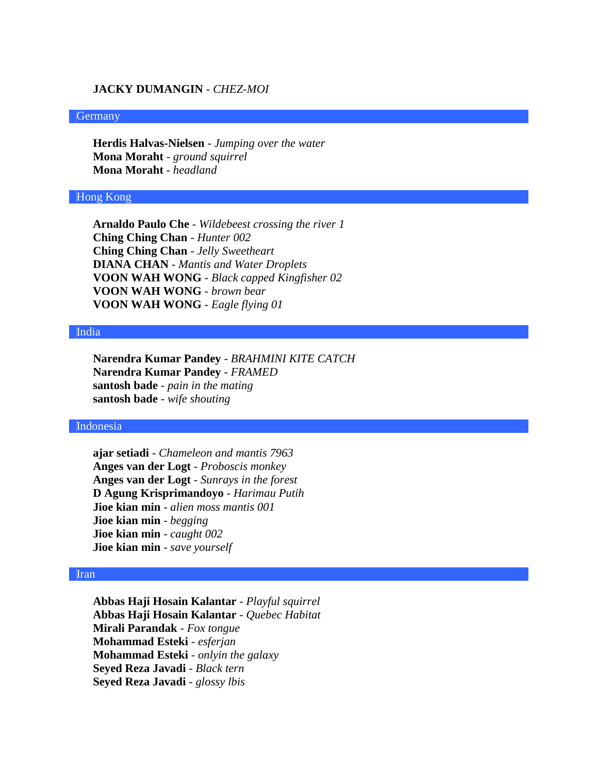# **JACKY DUMANGIN** - *CHEZ-MOI*

#### **Germany**

**Herdis Halvas-Nielsen** - *Jumping over the water* **Mona Moraht** - *ground squirrel* **Mona Moraht** - *headland*

### Hong Kong

**Arnaldo Paulo Che** - *Wildebeest crossing the river 1* **Ching Ching Chan** - *Hunter 002* **Ching Ching Chan** - *Jelly Sweetheart* **DIANA CHAN** - *Mantis and Water Droplets* **VOON WAH WONG** - *Black capped Kingfisher 02* **VOON WAH WONG** - *brown bear* **VOON WAH WONG** - *Eagle flying 01*

#### India

**Narendra Kumar Pandey** - *BRAHMINI KITE CATCH* **Narendra Kumar Pandey** - *FRAMED* **santosh bade** - *pain in the mating* **santosh bade** - *wife shouting*

# Indonesia

**ajar setiadi** - *Chameleon and mantis 7963* **Anges van der Logt** - *Proboscis monkey* **Anges van der Logt** - *Sunrays in the forest* **D Agung Krisprimandoyo** - *Harimau Putih* **Jioe kian min** - *alien moss mantis 001* **Jioe kian min** - *begging* **Jioe kian min** - *caught 002* **Jioe kian min** - *save yourself*

#### Iran

**Abbas Haji Hosain Kalantar** - *Playful squirrel* **Abbas Haji Hosain Kalantar** - *Quebec Habitat* **Mirali Parandak** - *Fox tongue* **Mohammad Esteki** - *esferjan* **Mohammad Esteki** - *onlyin the galaxy* **Seyed Reza Javadi** - *Black tern* **Seyed Reza Javadi** - *glossy lbis*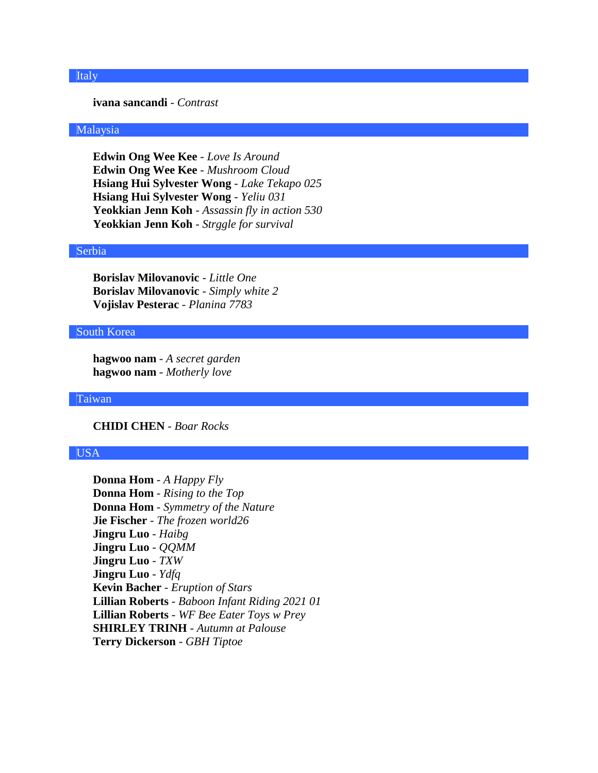# Italy

### **ivana sancandi** - *Contrast*

### Malaysia

**Edwin Ong Wee Kee** - *Love Is Around* **Edwin Ong Wee Kee** - *Mushroom Cloud* **Hsiang Hui Sylvester Wong** - *Lake Tekapo 025* **Hsiang Hui Sylvester Wong** - *Yeliu 031* **Yeokkian Jenn Koh** - *Assassin fly in action 530* **Yeokkian Jenn Koh** - *Strggle for survival*

### Serbia

**Borislav Milovanovic** - *Little One* **Borislav Milovanovic** - *Simply white 2* **Vojislav Pesterac** - *Planina 7783*

#### South Korea

**hagwoo nam** - *A secret garden* **hagwoo nam** - *Motherly love*

#### Taiwan

**CHIDI CHEN** - *Boar Rocks*

# USA

**Donna Hom** - *A Happy Fly* **Donna Hom** - *Rising to the Top* **Donna Hom** - *Symmetry of the Nature* **Jie Fischer** - *The frozen world26* **Jingru Luo** - *Haibg* **Jingru Luo** - *QQMM* **Jingru Luo** - *TXW* **Jingru Luo** - *Ydfq* **Kevin Bacher** - *Eruption of Stars* **Lillian Roberts** - *Baboon Infant Riding 2021 01* **Lillian Roberts** - *WF Bee Eater Toys w Prey* **SHIRLEY TRINH** - *Autumn at Palouse* **Terry Dickerson** - *GBH Tiptoe*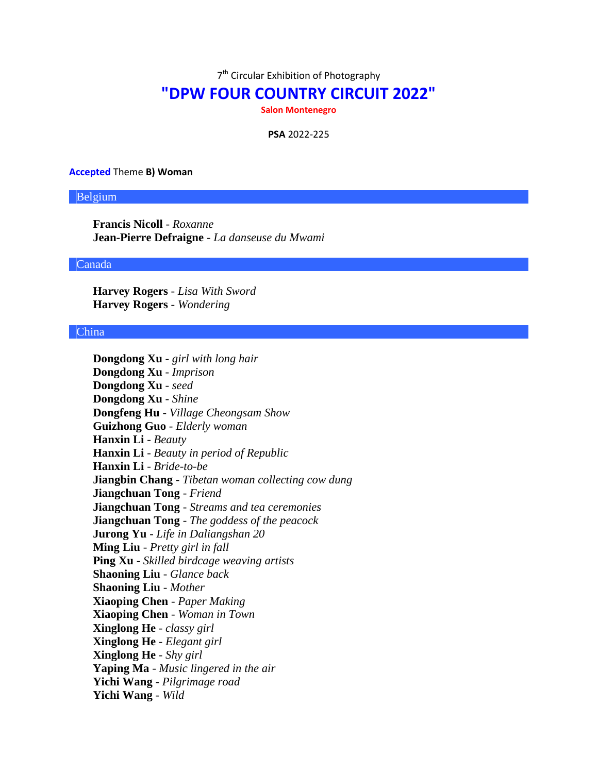7<sup>th</sup> Circular Exhibition of Photography

# **"DPW FOUR COUNTRY CIRCUIT 2022"**

**Salon Montenegro**

**PSA** 2022-225

#### **Accepted** Theme **B) Woman**

#### Belgium

**Francis Nicoll** - *Roxanne* **Jean-Pierre Defraigne** - *La danseuse du Mwami*

### Canada

**Harvey Rogers** - *Lisa With Sword* **Harvey Rogers** - *Wondering*

#### China

**Dongdong Xu** - *girl with long hair* **Dongdong Xu** - *Imprison* **Dongdong Xu** - *seed* **Dongdong Xu** - *Shine* **Dongfeng Hu** - *Village Cheongsam Show* **Guizhong Guo** - *Elderly woman* **Hanxin Li** - *Beauty* **Hanxin Li** - *Beauty in period of Republic* **Hanxin Li** - *Bride-to-be* **Jiangbin Chang** - *Tibetan woman collecting cow dung* **Jiangchuan Tong** - *Friend* **Jiangchuan Tong** - *Streams and tea ceremonies* **Jiangchuan Tong** - *The goddess of the peacock* **Jurong Yu** - *Life in Daliangshan 20* **Ming Liu** - *Pretty girl in fall* **Ping Xu** - *Skilled birdcage weaving artists* **Shaoning Liu** - *Glance back* **Shaoning Liu** - *Mother* **Xiaoping Chen** - *Paper Making* **Xiaoping Chen** - *Woman in Town* **Xinglong He** - *classy girl* **Xinglong He** - *Elegant girl* **Xinglong He** - *Shy girl* **Yaping Ma** - *Music lingered in the air* **Yichi Wang** - *Pilgrimage road* **Yichi Wang** - *Wild*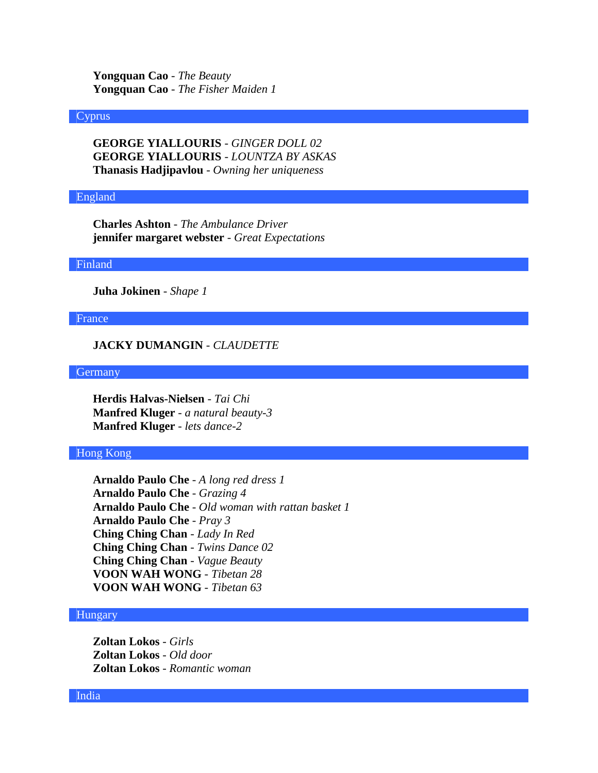**Yongquan Cao** - *The Beauty* **Yongquan Cao** - *The Fisher Maiden 1*

#### Cyprus

**GEORGE YIALLOURIS** - *GINGER DOLL 02* **GEORGE YIALLOURIS** - *LOUNTZA BY ASKAS* **Thanasis Hadjipavlou** - *Owning her uniqueness*

#### England

**Charles Ashton** - *The Ambulance Driver* **jennifer margaret webster** - *Great Expectations*

#### Finland

**Juha Jokinen** - *Shape 1*

France

## **JACKY DUMANGIN** - *CLAUDETTE*

**Germany** 

**Herdis Halvas-Nielsen** - *Tai Chi* **Manfred Kluger** - *a natural beauty-3* **Manfred Kluger** - *lets dance-2*

Hong Kong

**Arnaldo Paulo Che** - *A long red dress 1* **Arnaldo Paulo Che** - *Grazing 4* **Arnaldo Paulo Che** - *Old woman with rattan basket 1* **Arnaldo Paulo Che** - *Pray 3* **Ching Ching Chan** - *Lady In Red* **Ching Ching Chan** - *Twins Dance 02* **Ching Ching Chan** - *Vague Beauty* **VOON WAH WONG** - *Tibetan 28* **VOON WAH WONG** - *Tibetan 63*

### Hungary

**Zoltan Lokos** - *Girls* **Zoltan Lokos** - *Old door* **Zoltan Lokos** - *Romantic woman*

#### India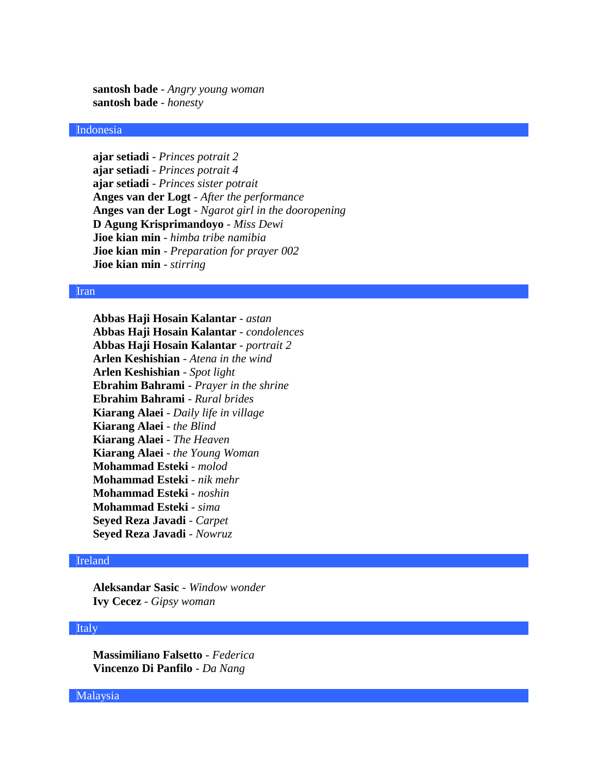**santosh bade** - *Angry young woman* **santosh bade** - *honesty*

# Indonesia

**ajar setiadi** - *Princes potrait 2* **ajar setiadi** - *Princes potrait 4* **ajar setiadi** - *Princes sister potrait* **Anges van der Logt** - *After the performance* **Anges van der Logt** - *Ngarot girl in the dooropening* **D Agung Krisprimandoyo** - *Miss Dewi* **Jioe kian min** - *himba tribe namibia* **Jioe kian min** - *Preparation for prayer 002* **Jioe kian min** - *stirring*

#### Iran

**Abbas Haji Hosain Kalantar** - *astan* **Abbas Haji Hosain Kalantar** - *condolences* **Abbas Haji Hosain Kalantar** - *portrait 2* **Arlen Keshishian** - *Atena in the wind* **Arlen Keshishian** - *Spot light* **Ebrahim Bahrami** - *Prayer in the shrine* **Ebrahim Bahrami** - *Rural brides* **Kiarang Alaei** - *Daily life in village* **Kiarang Alaei** - *the Blind* **Kiarang Alaei** - *The Heaven* **Kiarang Alaei** - *the Young Woman* **Mohammad Esteki** - *molod* **Mohammad Esteki** - *nik mehr* **Mohammad Esteki** - *noshin* **Mohammad Esteki** - *sima* **Seyed Reza Javadi** - *Carpet* **Seyed Reza Javadi** - *Nowruz*

# Ireland

**Aleksandar Sasic** - *Window wonder* **Ivy Cecez** - *Gipsy woman*

#### Italy

**Massimiliano Falsetto** - *Federica* **Vincenzo Di Panfilo** - *Da Nang*

Malaysia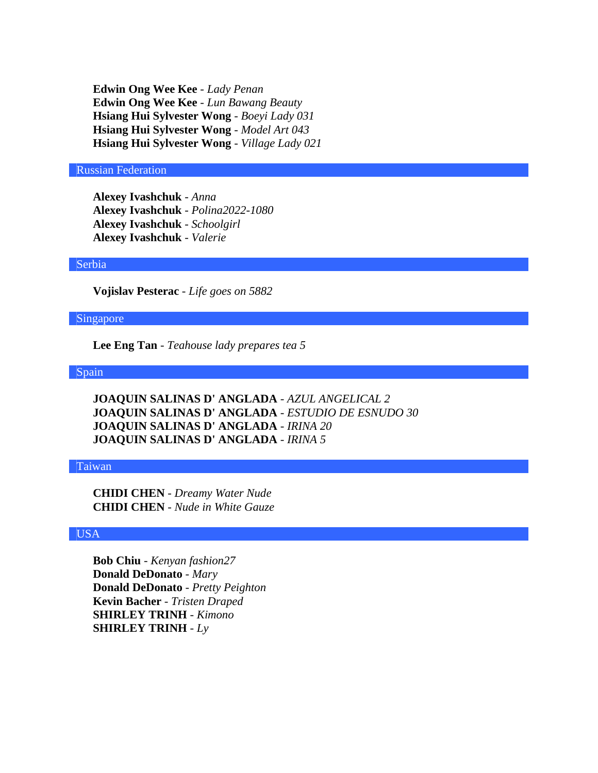**Edwin Ong Wee Kee** - *Lady Penan* **Edwin Ong Wee Kee** - *Lun Bawang Beauty* **Hsiang Hui Sylvester Wong** - *Boeyi Lady 031* **Hsiang Hui Sylvester Wong** - *Model Art 043* **Hsiang Hui Sylvester Wong** - *Village Lady 021*

### Russian Federation

**Alexey Ivashchuk** - *Anna* **Alexey Ivashchuk** - *Polina2022-1080* **Alexey Ivashchuk** - *Schoolgirl* **Alexey Ivashchuk** - *Valerie*

#### Serbia

**Vojislav Pesterac** - *Life goes on 5882*

# Singapore

**Lee Eng Tan** - *Teahouse lady prepares tea 5*

### Spain

**JOAQUIN SALINAS D' ANGLADA** - *AZUL ANGELICAL 2* **JOAQUIN SALINAS D' ANGLADA** - *ESTUDIO DE ESNUDO 30* **JOAQUIN SALINAS D' ANGLADA** - *IRINA 20* **JOAQUIN SALINAS D' ANGLADA** - *IRINA 5*

### Taiwan

**CHIDI CHEN** - *Dreamy Water Nude* **CHIDI CHEN** - *Nude in White Gauze*

# USA

**Bob Chiu** - *Kenyan fashion27* **Donald DeDonato** - *Mary* **Donald DeDonato** - *Pretty Peighton* **Kevin Bacher** - *Tristen Draped* **SHIRLEY TRINH** - *Kimono* **SHIRLEY TRINH** - *Ly*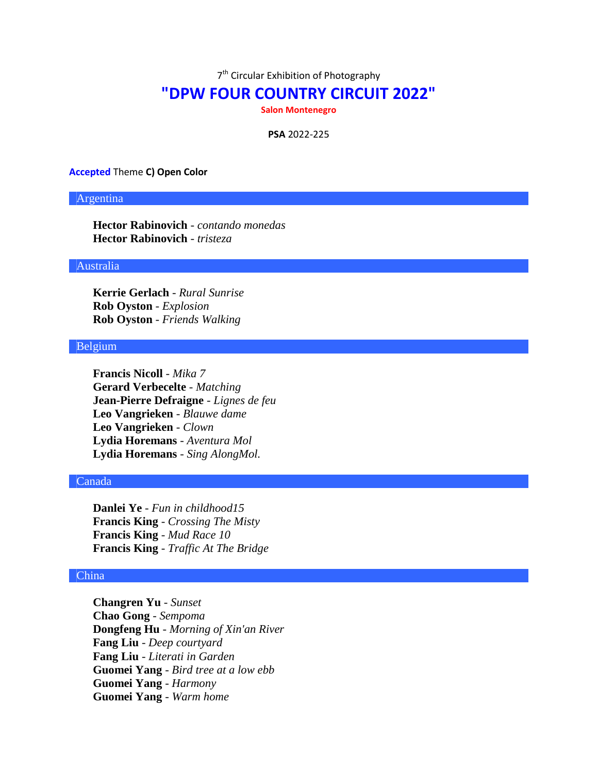7<sup>th</sup> Circular Exhibition of Photography

# **"DPW FOUR COUNTRY CIRCUIT 2022"**

**Salon Montenegro**

**PSA** 2022-225

#### **Accepted** Theme **C) Open Color**

# Argentina

**Hector Rabinovich** - *contando monedas* **Hector Rabinovich** - *tristeza*

# Australia

**Kerrie Gerlach** - *Rural Sunrise* **Rob Oyston** - *Explosion* **Rob Oyston** - *Friends Walking*

### Belgium

**Francis Nicoll** - *Mika 7* **Gerard Verbecelte** - *Matching* **Jean-Pierre Defraigne** - *Lignes de feu* **Leo Vangrieken** - *Blauwe dame* **Leo Vangrieken** - *Clown* **Lydia Horemans** - *Aventura Mol* **Lydia Horemans** - *Sing AlongMol.*

### Canada

**Danlei Ye** - *Fun in childhood15* **Francis King** - *Crossing The Misty* **Francis King** - *Mud Race 10* **Francis King** - *Traffic At The Bridge*

### China

**Changren Yu** - *Sunset* **Chao Gong** - *Sempoma* **Dongfeng Hu** - *Morning of Xin'an River* **Fang Liu** - *Deep courtyard* **Fang Liu** - *Literati in Garden* **Guomei Yang** - *Bird tree at a low ebb* **Guomei Yang** - *Harmony* **Guomei Yang** - *Warm home*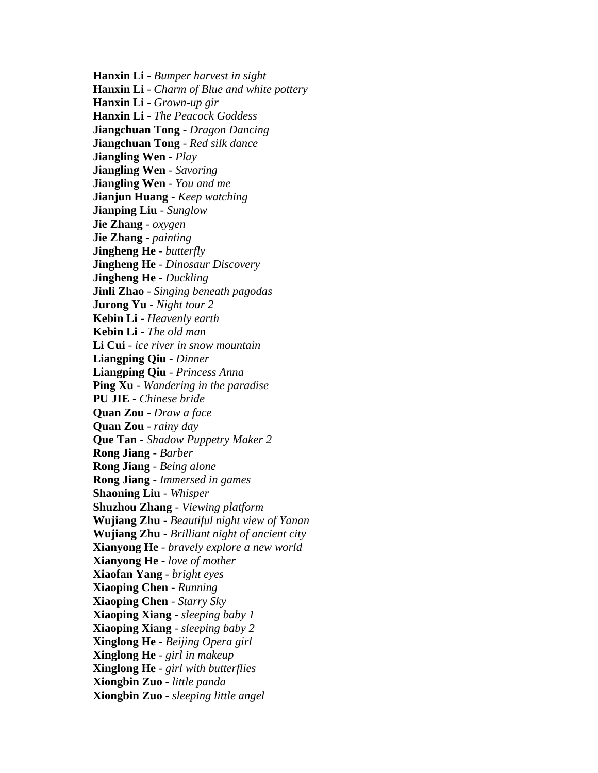**Hanxin Li** - *Bumper harvest in sight* **Hanxin Li** - *Charm of Blue and white pottery* **Hanxin Li** - *Grown-up gir* **Hanxin Li** - *The Peacock Goddess* **Jiangchuan Tong** - *Dragon Dancing* **Jiangchuan Tong** - *Red silk dance* **Jiangling Wen** - *Play* **Jiangling Wen** - *Savoring* **Jiangling Wen** - *You and me* **Jianjun Huang** - *Keep watching* **Jianping Liu** - *Sunglow* **Jie Zhang** - *oxygen* **Jie Zhang** - *painting* **Jingheng He** - *butterfly* **Jingheng He** - *Dinosaur Discovery* **Jingheng He** - *Duckling* **Jinli Zhao** - *Singing beneath pagodas* **Jurong Yu** - *Night tour 2* **Kebin Li** - *Heavenly earth* **Kebin Li** - *The old man* **Li Cui** - *ice river in snow mountain* **Liangping Qiu** - *Dinner* **Liangping Qiu** - *Princess Anna* **Ping Xu** - *Wandering in the paradise* **PU JIE** - *Chinese bride* **Quan Zou** - *Draw a face* **Quan Zou** - *rainy day* **Que Tan** - *Shadow Puppetry Maker 2* **Rong Jiang** - *Barber* **Rong Jiang** - *Being alone* **Rong Jiang** - *Immersed in games* **Shaoning Liu** - *Whisper* **Shuzhou Zhang** - *Viewing platform* **Wujiang Zhu** - *Beautiful night view of Yanan* **Wujiang Zhu** - *Brilliant night of ancient city* **Xianyong He** - *bravely explore a new world* **Xianyong He** - *love of mother* **Xiaofan Yang** - *bright eyes* **Xiaoping Chen** - *Running* **Xiaoping Chen** - *Starry Sky* **Xiaoping Xiang** - *sleeping baby 1* **Xiaoping Xiang** - *sleeping baby 2* **Xinglong He** - *Beijing Opera girl* **Xinglong He** - *girl in makeup* **Xinglong He** - *girl with butterflies* **Xiongbin Zuo** - *little panda* **Xiongbin Zuo** - *sleeping little angel*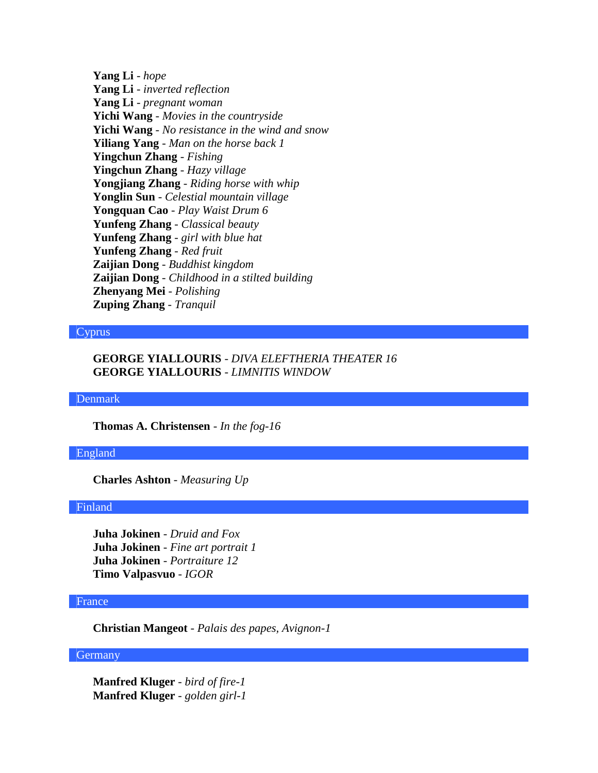**Yang Li** - *hope* **Yang Li** - *inverted reflection* **Yang Li** - *pregnant woman* **Yichi Wang** - *Movies in the countryside* **Yichi Wang** - *No resistance in the wind and snow* **Yiliang Yang** - *Man on the horse back 1* **Yingchun Zhang** - *Fishing* **Yingchun Zhang** - *Hazy village* **Yongjiang Zhang** - *Riding horse with whip* **Yonglin Sun** - *Celestial mountain village* **Yongquan Cao** - *Play Waist Drum 6* **Yunfeng Zhang** - *Classical beauty* **Yunfeng Zhang** - *girl with blue hat* **Yunfeng Zhang** - *Red fruit* **Zaijian Dong** - *Buddhist kingdom* **Zaijian Dong** - *Childhood in a stilted building* **Zhenyang Mei** - *Polishing* **Zuping Zhang** - *Tranquil*

#### Cyprus

# **GEORGE YIALLOURIS** - *DIVA ELEFTHERIA THEATER 16* **GEORGE YIALLOURIS** - *LIMNITIS WINDOW*

Denmark

**Thomas A. Christensen** - *In the fog-16*

England

**Charles Ashton** - *Measuring Up*

# Finland

**Juha Jokinen** - *Druid and Fox* **Juha Jokinen** - *Fine art portrait 1* **Juha Jokinen** - *Portraiture 12* **Timo Valpasvuo** - *IGOR*

### France

**Christian Mangeot** - *Palais des papes, Avignon-1*

# **Germany**

**Manfred Kluger** - *bird of fire-1* **Manfred Kluger** - *golden girl-1*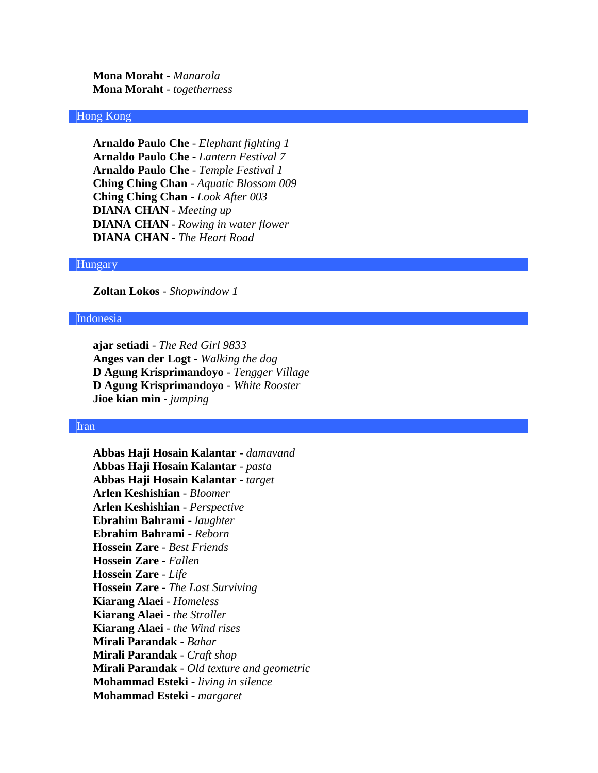**Mona Moraht** - *Manarola* **Mona Moraht** - *togetherness*

### Hong Kong

**Arnaldo Paulo Che** - *Elephant fighting 1* **Arnaldo Paulo Che** - *Lantern Festival 7* **Arnaldo Paulo Che** - *Temple Festival 1* **Ching Ching Chan** - *Aquatic Blossom 009* **Ching Ching Chan** - *Look After 003* **DIANA CHAN** - *Meeting up* **DIANA CHAN** - *Rowing in water flower* **DIANA CHAN** - *The Heart Road*

#### Hungary

**Zoltan Lokos** - *Shopwindow 1*

### Indonesia

**ajar setiadi** - *The Red Girl 9833* **Anges van der Logt** - *Walking the dog* **D Agung Krisprimandoyo** - *Tengger Village* **D Agung Krisprimandoyo** - *White Rooster* **Jioe kian min** - *jumping*

#### Iran

**Abbas Haji Hosain Kalantar** - *damavand* **Abbas Haji Hosain Kalantar** - *pasta* **Abbas Haji Hosain Kalantar** - *target* **Arlen Keshishian** - *Bloomer* **Arlen Keshishian** - *Perspective* **Ebrahim Bahrami** - *laughter* **Ebrahim Bahrami** - *Reborn* **Hossein Zare** - *Best Friends* **Hossein Zare** - *Fallen* **Hossein Zare** - *Life* **Hossein Zare** - *The Last Surviving* **Kiarang Alaei** - *Homeless* **Kiarang Alaei** - *the Stroller* **Kiarang Alaei** - *the Wind rises* **Mirali Parandak** - *Bahar* **Mirali Parandak** - *Craft shop* **Mirali Parandak** - *Old texture and geometric* **Mohammad Esteki** - *living in silence* **Mohammad Esteki** - *margaret*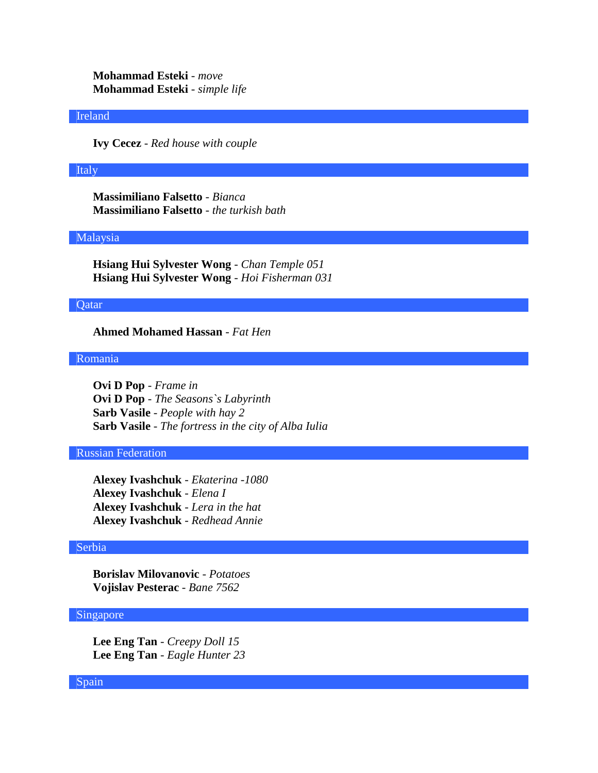**Mohammad Esteki** - *move* **Mohammad Esteki** - *simple life*

#### Ireland

**Ivy Cecez** - *Red house with couple*

### Italy

**Massimiliano Falsetto** - *Bianca* **Massimiliano Falsetto** - *the turkish bath*

### Malaysia

**Hsiang Hui Sylvester Wong** - *Chan Temple 051* **Hsiang Hui Sylvester Wong** - *Hoi Fisherman 031*

### Qatar

**Ahmed Mohamed Hassan** - *Fat Hen*

### Romania

**Ovi D Pop** - *Frame in* **Ovi D Pop** - *The Seasons`s Labyrinth* **Sarb Vasile** - *People with hay 2* **Sarb Vasile** - *The fortress in the city of Alba Iulia*

# Russian Federation

**Alexey Ivashchuk** - *Ekaterina -1080* **Alexey Ivashchuk** - *Elena I* **Alexey Ivashchuk** - *Lera in the hat* **Alexey Ivashchuk** - *Redhead Annie*

# Serbia

**Borislav Milovanovic** - *Potatoes* **Vojislav Pesterac** - *Bane 7562*

# Singapore

**Lee Eng Tan** - *Creepy Doll 15* **Lee Eng Tan** - *Eagle Hunter 23*

#### Spain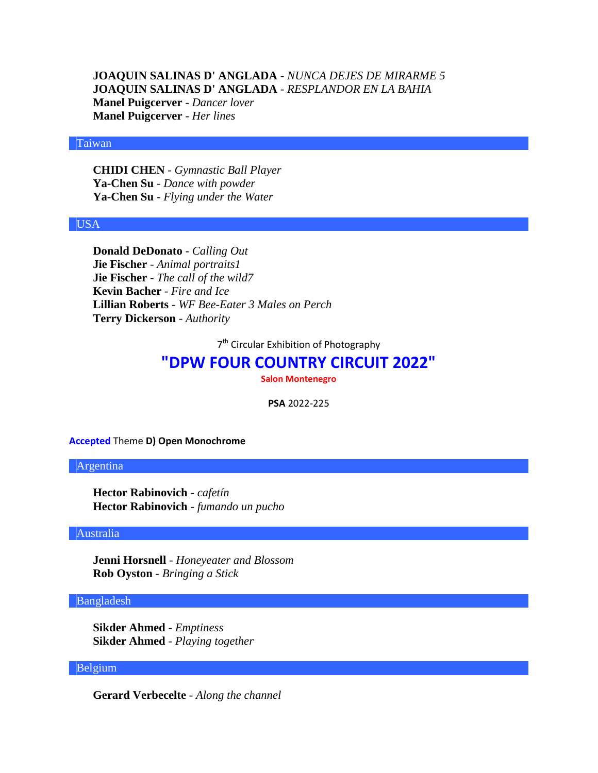**JOAQUIN SALINAS D' ANGLADA** - *NUNCA DEJES DE MIRARME 5* **JOAQUIN SALINAS D' ANGLADA** - *RESPLANDOR EN LA BAHIA* **Manel Puigcerver** - *Dancer lover* **Manel Puigcerver** - *Her lines*

### Taiwan

**CHIDI CHEN** - *Gymnastic Ball Player* **Ya-Chen Su** - *Dance with powder* **Ya-Chen Su** - *Flying under the Water*

#### USA

**Donald DeDonato** - *Calling Out* **Jie Fischer** - *Animal portraits1* **Jie Fischer** - *The call of the wild7* **Kevin Bacher** - *Fire and Ice* **Lillian Roberts** - *WF Bee-Eater 3 Males on Perch* **Terry Dickerson** - *Authority*

7<sup>th</sup> Circular Exhibition of Photography

# **"DPW FOUR COUNTRY CIRCUIT 2022"**

**Salon Montenegro**

**PSA** 2022-225

**Accepted** Theme **D) Open Monochrome**

#### Argentina

**Hector Rabinovich** - *cafetín* **Hector Rabinovich** - *fumando un pucho*

## Australia

**Jenni Horsnell** - *Honeyeater and Blossom* **Rob Oyston** - *Bringing a Stick*

#### Bangladesh

**Sikder Ahmed** - *Emptiness* **Sikder Ahmed** - *Playing together*

# Belgium

**Gerard Verbecelte** - *Along the channel*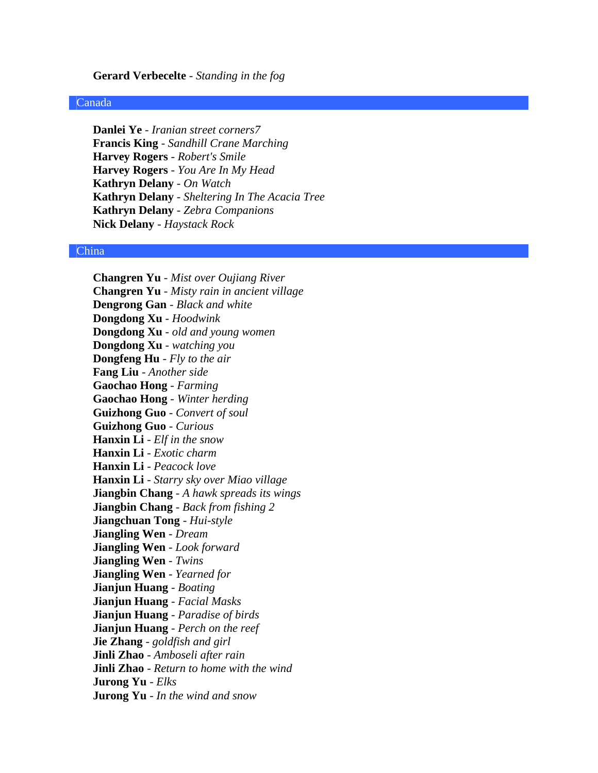#### **Gerard Verbecelte** - *Standing in the fog*

#### Canada

**Danlei Ye** - *Iranian street corners7* **Francis King** - *Sandhill Crane Marching* **Harvey Rogers** - *Robert's Smile* **Harvey Rogers** - *You Are In My Head* **Kathryn Delany** - *On Watch* **Kathryn Delany** - *Sheltering In The Acacia Tree* **Kathryn Delany** - *Zebra Companions* **Nick Delany** - *Haystack Rock*

### China

**Changren Yu** - *Mist over Oujiang River* **Changren Yu** - *Misty rain in ancient village* **Dengrong Gan** - *Black and white* **Dongdong Xu** - *Hoodwink* **Dongdong Xu** - *old and young women* **Dongdong Xu** - *watching you* **Dongfeng Hu** - *Fly to the air* **Fang Liu** - *Another side* **Gaochao Hong** - *Farming* **Gaochao Hong** - *Winter herding* **Guizhong Guo** - *Convert of soul* **Guizhong Guo** - *Curious* **Hanxin Li** - *Elf in the snow* **Hanxin Li** - *Exotic charm* **Hanxin Li** - *Peacock love* **Hanxin Li** - *Starry sky over Miao village* **Jiangbin Chang** - *A hawk spreads its wings* **Jiangbin Chang** - *Back from fishing 2* **Jiangchuan Tong** - *Hui-style* **Jiangling Wen** - *Dream* **Jiangling Wen** - *Look forward* **Jiangling Wen** - *Twins* **Jiangling Wen** - *Yearned for* **Jianjun Huang** - *Boating* **Jianjun Huang** - *Facial Masks* **Jianjun Huang** - *Paradise of birds* **Jianjun Huang** - *Perch on the reef* **Jie Zhang** - *goldfish and girl* **Jinli Zhao** - *Amboseli after rain* **Jinli Zhao** - *Return to home with the wind* **Jurong Yu** - *Elks* **Jurong Yu** - *In the wind and snow*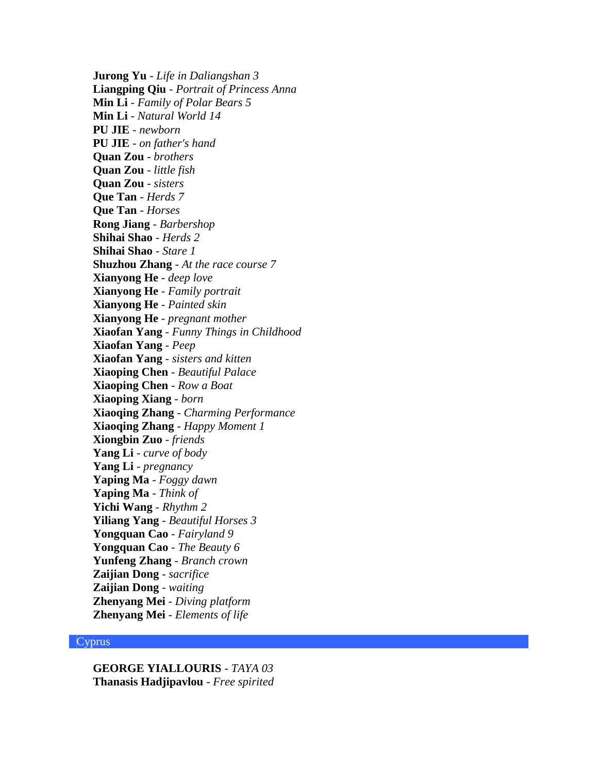**Jurong Yu** - *Life in Daliangshan 3* **Liangping Qiu** - *Portrait of Princess Anna* **Min Li** - *Family of Polar Bears 5* **Min Li** - *Natural World 14* **PU JIE** - *newborn* **PU JIE** - *on father's hand* **Quan Zou** - *brothers* **Quan Zou** - *little fish* **Quan Zou** - *sisters* **Que Tan** - *Herds 7* **Que Tan** - *Horses* **Rong Jiang** - *Barbershop* **Shihai Shao** - *Herds 2* **Shihai Shao** - *Stare 1* **Shuzhou Zhang** - *At the race course 7* **Xianyong He** - *deep love* **Xianyong He** - *Family portrait* **Xianyong He** - *Painted skin* **Xianyong He** - *pregnant mother* **Xiaofan Yang** - *Funny Things in Childhood* **Xiaofan Yang** - *Peep* **Xiaofan Yang** - *sisters and kitten* **Xiaoping Chen** - *Beautiful Palace* **Xiaoping Chen** - *Row a Boat* **Xiaoping Xiang** - *born* **Xiaoqing Zhang** - *Charming Performance* **Xiaoqing Zhang** - *Happy Moment 1* **Xiongbin Zuo** - *friends* **Yang Li** - *curve of body* **Yang Li** - *pregnancy* **Yaping Ma** - *Foggy dawn* **Yaping Ma** - *Think of* **Yichi Wang** - *Rhythm 2* **Yiliang Yang** - *Beautiful Horses 3* **Yongquan Cao** - *Fairyland 9* **Yongquan Cao** - *The Beauty 6* **Yunfeng Zhang** - *Branch crown* **Zaijian Dong** - *sacrifice* **Zaijian Dong** - *waiting* **Zhenyang Mei** - *Diving platform* **Zhenyang Mei** - *Elements of life*

#### **Cyprus**

**GEORGE YIALLOURIS** - *TAYA 03* **Thanasis Hadjipavlou** - *Free spirited*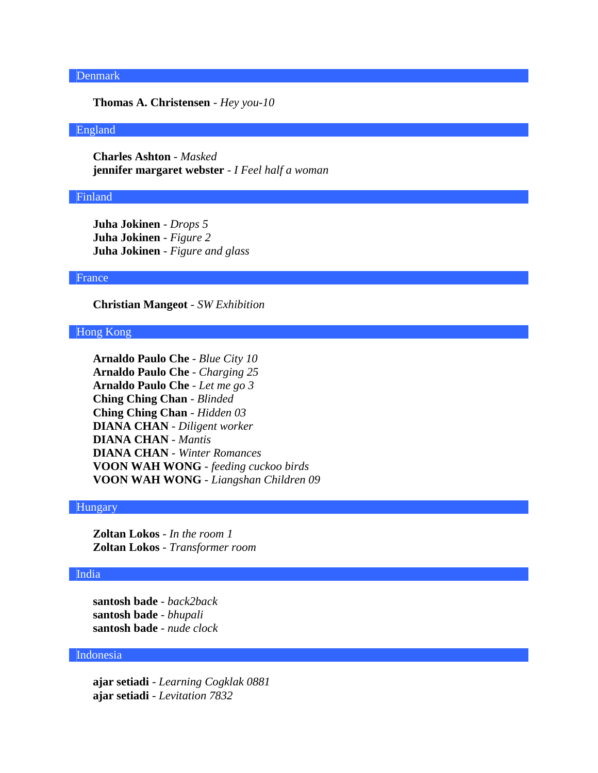# Denmark

**Thomas A. Christensen** - *Hey you-10*

### England

**Charles Ashton** - *Masked* **jennifer margaret webster** - *I Feel half a woman*

#### Finland

**Juha Jokinen** - *Drops 5* **Juha Jokinen** - *Figure 2* **Juha Jokinen** - *Figure and glass*

#### France

**Christian Mangeot** - *SW Exhibition*

#### Hong Kong

#### Hungary

**Zoltan Lokos** - *In the room 1* **Zoltan Lokos** - *Transformer room*

# India

**santosh bade** - *back2back* **santosh bade** - *bhupali* **santosh bade** - *nude clock*

# Indonesia

**ajar setiadi** - *Learning Cogklak 0881* **ajar setiadi** - *Levitation 7832*

**Arnaldo Paulo Che** - *Blue City 10* **Arnaldo Paulo Che** - *Charging 25* **Arnaldo Paulo Che** - *Let me go 3* **Ching Ching Chan** - *Blinded* **Ching Ching Chan** - *Hidden 03* **DIANA CHAN** - *Diligent worker* **DIANA CHAN** - *Mantis* **DIANA CHAN** - *Winter Romances* **VOON WAH WONG** - *feeding cuckoo birds* **VOON WAH WONG** - *Liangshan Children 09*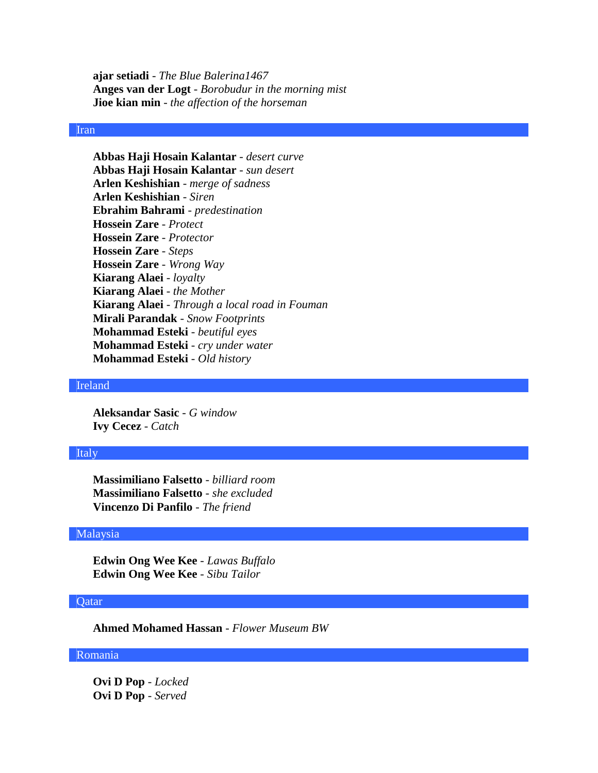**ajar setiadi** - *The Blue Balerina1467* **Anges van der Logt** - *Borobudur in the morning mist* **Jioe kian min** - *the affection of the horseman*

# Iran

**Abbas Haji Hosain Kalantar** - *desert curve* **Abbas Haji Hosain Kalantar** - *sun desert* **Arlen Keshishian** - *merge of sadness* **Arlen Keshishian** - *Siren* **Ebrahim Bahrami** - *predestination* **Hossein Zare** - *Protect* **Hossein Zare** - *Protector* **Hossein Zare** - *Steps* **Hossein Zare** - *Wrong Way* **Kiarang Alaei** - *loyalty* **Kiarang Alaei** - *the Mother* **Kiarang Alaei** - *Through a local road in Fouman* **Mirali Parandak** - *Snow Footprints* **Mohammad Esteki** - *beutiful eyes* **Mohammad Esteki** - *cry under water* **Mohammad Esteki** - *Old history*

### Ireland

**Aleksandar Sasic** - *G window* **Ivy Cecez** - *Catch*

#### Italy

**Massimiliano Falsetto** - *billiard room* **Massimiliano Falsetto** - *she excluded* **Vincenzo Di Panfilo** - *The friend*

#### Malaysia

**Edwin Ong Wee Kee** - *Lawas Buffalo* **Edwin Ong Wee Kee** - *Sibu Tailor*

### **Qatar**

**Ahmed Mohamed Hassan** - *Flower Museum BW*

# Romania

**Ovi D Pop** - *Locked* **Ovi D Pop** - *Served*